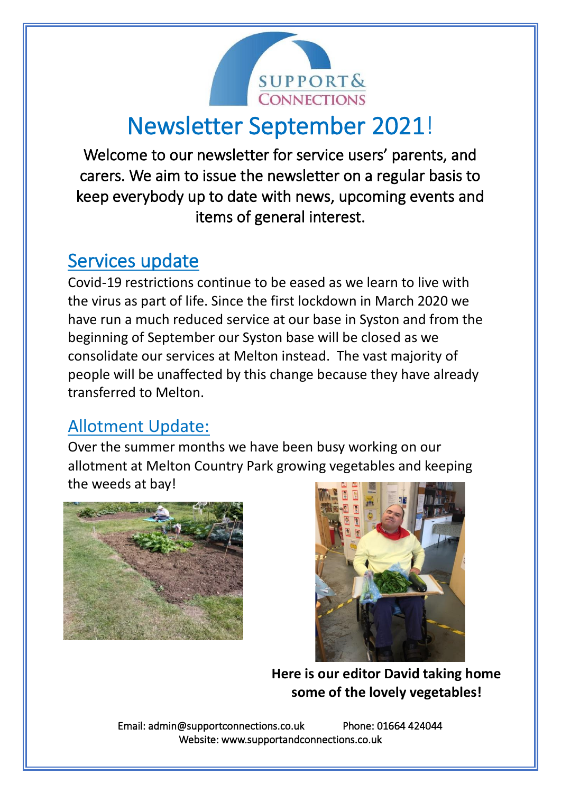

# Newsletter September 2021!

Welcome to our newsletter for service users' parents, and carers. We aim to issue the newsletter on a regular basis to keep everybody up to date with news, upcoming events and items of general interest.

## Services update

Covid-19 restrictions continue to be eased as we learn to live with the virus as part of life. Since the first lockdown in March 2020 we have run a much reduced service at our base in Syston and from the beginning of September our Syston base will be closed as we consolidate our services at Melton instead. The vast majority of people will be unaffected by this change because they have already transferred to Melton.

### Allotment Update:

Over the summer months we have been busy working on our allotment at Melton Country Park growing vegetables and keeping the weeds at bay!





**Here is our editor David taking home some of the lovely vegetables!**

Email: admin@supportconnections.co.uk Phone: 01664 424044 Website: www.supportandconnections.co.uk